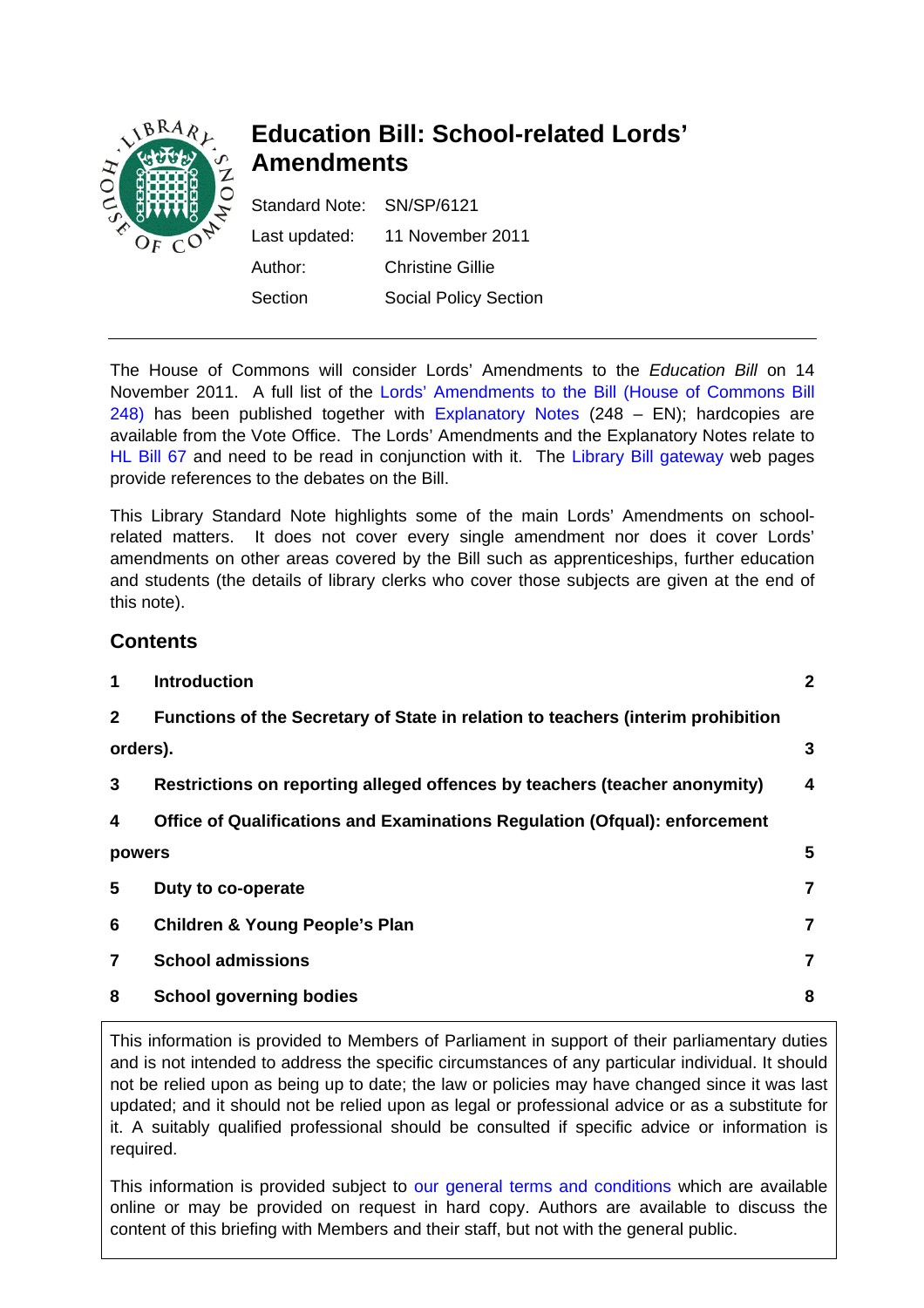

# **Education Bill: School-related Lords' Amendments**

Standard Note: SN/SP/6121 Last updated: 11 November 2011 Author: Christine Gillie Section Social Policy Section

The House of Commons will consider Lords' Amendments to the *Education Bill* on 14 November 2011. A full list of the [Lords' Amendments to the Bill \(House of Commons Bill](http://www.publications.parliament.uk/pa/bills/cbill/2010-2012/0248/2012248.pdf)  [248\)](http://www.publications.parliament.uk/pa/bills/cbill/2010-2012/0248/2012248.pdf) has been published together with [Explanatory Notes](http://www.publications.parliament.uk/pa/bills/cbill/2010-2012/0248/en/2012248en.pdf) (248 – EN); hardcopies are available from the Vote Office. The Lords' Amendments and the Explanatory Notes relate to [HL Bill 67](http://www.publications.parliament.uk/pa/bills/lbill/2010-2012/0067/lbill_2010-20120067_en_1.htm) and need to be read in conjunction with it. The [Library Bill gateway](http://services.parliament.uk/bills/2010-11/education.html) web pages provide references to the debates on the Bill.

This Library Standard Note highlights some of the main Lords' Amendments on schoolrelated matters. It does not cover every single amendment nor does it cover Lords' amendments on other areas covered by the Bill such as apprenticeships, further education and students (the details of library clerks who cover those subjects are given at the end of this note).

# **Contents**

| 1              | <b>Introduction</b>                                                              | $\mathbf{2}$ |
|----------------|----------------------------------------------------------------------------------|--------------|
| $\mathbf{2}$   | Functions of the Secretary of State in relation to teachers (interim prohibition |              |
|                | orders).                                                                         |              |
| 3              | Restrictions on reporting alleged offences by teachers (teacher anonymity)       | 4            |
| 4              | Office of Qualifications and Examinations Regulation (Ofqual): enforcement       |              |
| powers         |                                                                                  | 5            |
| 5              | Duty to co-operate                                                               | 7            |
| 6              | <b>Children &amp; Young People's Plan</b>                                        | 7            |
| $\overline{7}$ | <b>School admissions</b>                                                         | 7            |
| 8              | <b>School governing bodies</b>                                                   | 8            |
|                |                                                                                  |              |

This information is provided to Members of Parliament in support of their parliamentary duties and is not intended to address the specific circumstances of any particular individual. It should not be relied upon as being up to date; the law or policies may have changed since it was last updated; and it should not be relied upon as legal or professional advice or as a substitute for it. A suitably qualified professional should be consulted if specific advice or information is required.

This information is provided subject to [our general terms and conditions](http://www.parliament.uk/site-information/copyright/) which are available online or may be provided on request in hard copy. Authors are available to discuss the content of this briefing with Members and their staff, but not with the general public.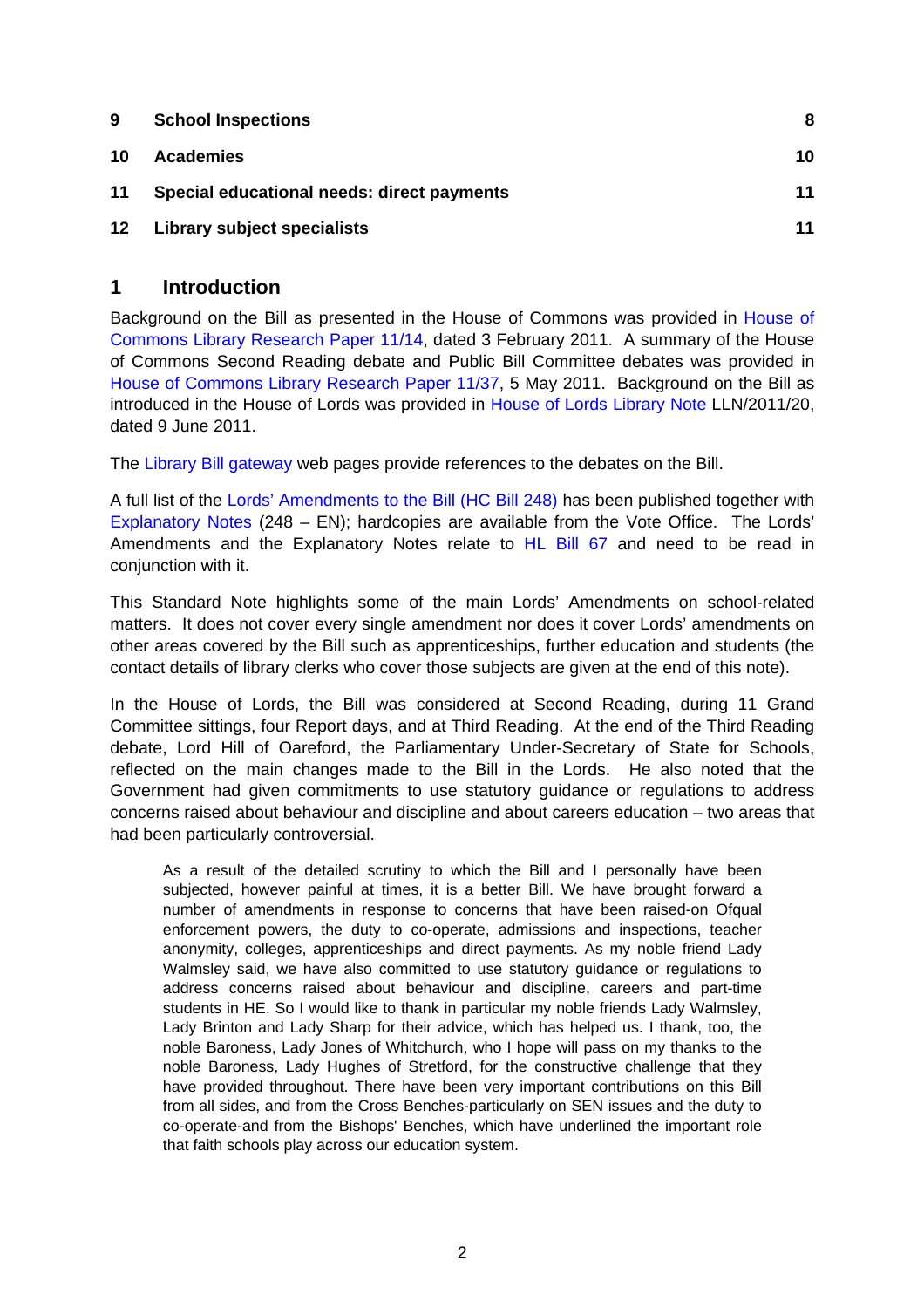<span id="page-1-0"></span>

| <b>School Inspections</b>                  | 8  |
|--------------------------------------------|----|
| <b>Academies</b>                           | 10 |
| Special educational needs: direct payments | 11 |
| Library subject specialists                | 11 |
|                                            |    |

#### **1 Introduction**

Background on the Bill as presented in the House of Commons was provided in [House of](http://intranet.parliament.uk/briefing-papers/RP11-14)  [Commons Library Research Paper 11/14,](http://intranet.parliament.uk/briefing-papers/RP11-14) dated 3 February 2011. A summary of the House of Commons Second Reading debate and Public Bill Committee debates was provided in [House of Commons Library Research Paper 11/37,](http://intranet.parliament.uk/briefing-papers/RP11-37) 5 May 2011. Background on the Bill as introduced in the House of Lords was provided in [House of Lords Library Note](http://intranet.parliament.uk/briefing-papers/LLN-2011-020) LLN/2011/20, dated 9 June 2011.

The [Library Bill gateway](http://services.parliament.uk/bills/2010-11/education.html) web pages provide references to the debates on the Bill.

A full list of the [Lords' Amendments to the Bill \(HC Bill 248\)](http://www.publications.parliament.uk/pa/bills/cbill/2010-2012/0248/2012248.pdf) has been published together with [Explanatory Notes](http://www.publications.parliament.uk/pa/bills/cbill/2010-2012/0248/en/2012248en.pdf) (248 – EN); hardcopies are available from the Vote Office. The Lords' Amendments and the Explanatory Notes relate to [HL Bill 67](http://www.publications.parliament.uk/pa/bills/lbill/2010-2012/0067/lbill_2010-20120067_en_1.htm) and need to be read in conjunction with it.

This Standard Note highlights some of the main Lords' Amendments on school-related matters. It does not cover every single amendment nor does it cover Lords' amendments on other areas covered by the Bill such as apprenticeships, further education and students (the contact details of library clerks who cover those subjects are given at the end of this note).

In the House of Lords, the Bill was considered at Second Reading, during 11 Grand Committee sittings, four Report days, and at Third Reading. At the end of the Third Reading debate, Lord Hill of Oareford, the Parliamentary Under-Secretary of State for Schools, reflected on the main changes made to the Bill in the Lords. He also noted that the Government had given commitments to use statutory guidance or regulations to address concerns raised about behaviour and discipline and about careers education – two areas that had been particularly controversial.

As a result of the detailed scrutiny to which the Bill and I personally have been subjected, however painful at times, it is a better Bill. We have brought forward a number of amendments in response to concerns that have been raised-on Ofqual enforcement powers, the duty to co-operate, admissions and inspections, teacher anonymity, colleges, apprenticeships and direct payments. As my noble friend Lady Walmsley said, we have also committed to use statutory guidance or regulations to address concerns raised about behaviour and discipline, careers and part-time students in HE. So I would like to thank in particular my noble friends Lady Walmsley, Lady Brinton and Lady Sharp for their advice, which has helped us. I thank, too, the noble Baroness, Lady Jones of Whitchurch, who I hope will pass on my thanks to the noble Baroness, Lady Hughes of Stretford, for the constructive challenge that they have provided throughout. There have been very important contributions on this Bill from all sides, and from the Cross Benches-particularly on SEN issues and the duty to co-operate-and from the Bishops' Benches, which have underlined the important role that faith schools play across our education system.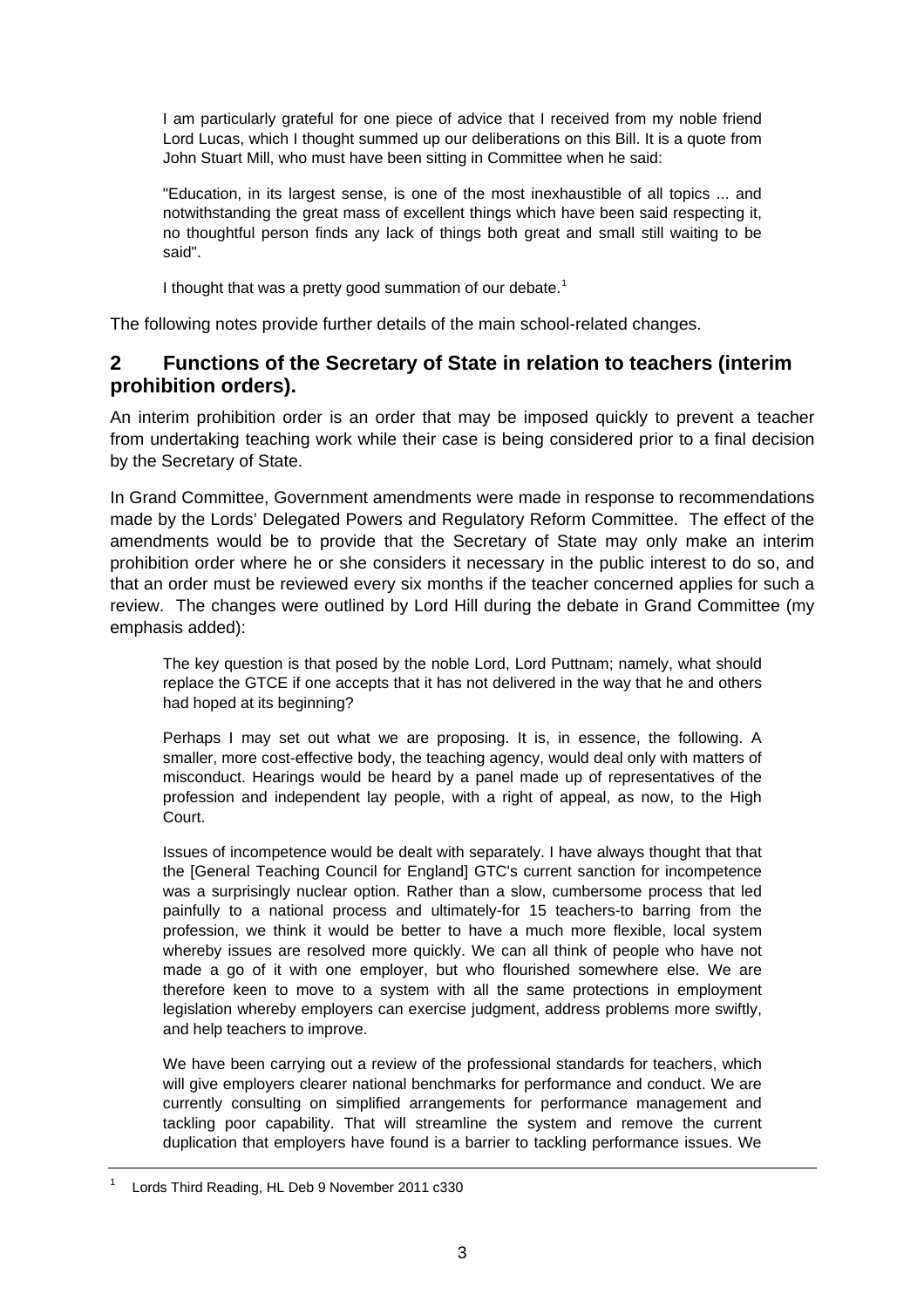<span id="page-2-0"></span>I am particularly grateful for one piece of advice that I received from my noble friend Lord Lucas, which I thought summed up our deliberations on this Bill. It is a quote from John Stuart Mill, who must have been sitting in Committee when he said:

"Education, in its largest sense, is one of the most inexhaustible of all topics ... and notwithstanding the great mass of excellent things which have been said respecting it, no thoughtful person finds any lack of things both great and small still waiting to be said".

I thought that was a pretty good summation of our debate.<sup>[1](#page-2-1)</sup>

The following notes provide further details of the main school-related changes.

#### **2 Functions of the Secretary of State in relation to teachers (interim prohibition orders).**

An interim prohibition order is an order that may be imposed quickly to prevent a teacher from undertaking teaching work while their case is being considered prior to a final decision by the Secretary of State.

In Grand Committee, Government amendments were made in response to recommendations made by the Lords' Delegated Powers and Regulatory Reform Committee. The effect of the amendments would be to provide that the Secretary of State may only make an interim prohibition order where he or she considers it necessary in the public interest to do so, and that an order must be reviewed every six months if the teacher concerned applies for such a review. The changes were outlined by Lord Hill during the debate in Grand Committee (my emphasis added):

The key question is that posed by the noble Lord, Lord Puttnam; namely, what should replace the GTCE if one accepts that it has not delivered in the way that he and others had hoped at its beginning?

Perhaps I may set out what we are proposing. It is, in essence, the following. A smaller, more cost-effective body, the teaching agency, would deal only with matters of misconduct. Hearings would be heard by a panel made up of representatives of the profession and independent lay people, with a right of appeal, as now, to the High Court.

Issues of incompetence would be dealt with separately. I have always thought that that the [General Teaching Council for England] GTC's current sanction for incompetence was a surprisingly nuclear option. Rather than a slow, cumbersome process that led painfully to a national process and ultimately-for 15 teachers-to barring from the profession, we think it would be better to have a much more flexible, local system whereby issues are resolved more quickly. We can all think of people who have not made a go of it with one employer, but who flourished somewhere else. We are therefore keen to move to a system with all the same protections in employment legislation whereby employers can exercise judgment, address problems more swiftly, and help teachers to improve.

We have been carrying out a review of the professional standards for teachers, which will give employers clearer national benchmarks for performance and conduct. We are currently consulting on simplified arrangements for performance management and tackling poor capability. That will streamline the system and remove the current duplication that employers have found is a barrier to tackling performance issues. We

<span id="page-2-1"></span><sup>1</sup> Lords Third Reading, HL Deb 9 November 2011 c330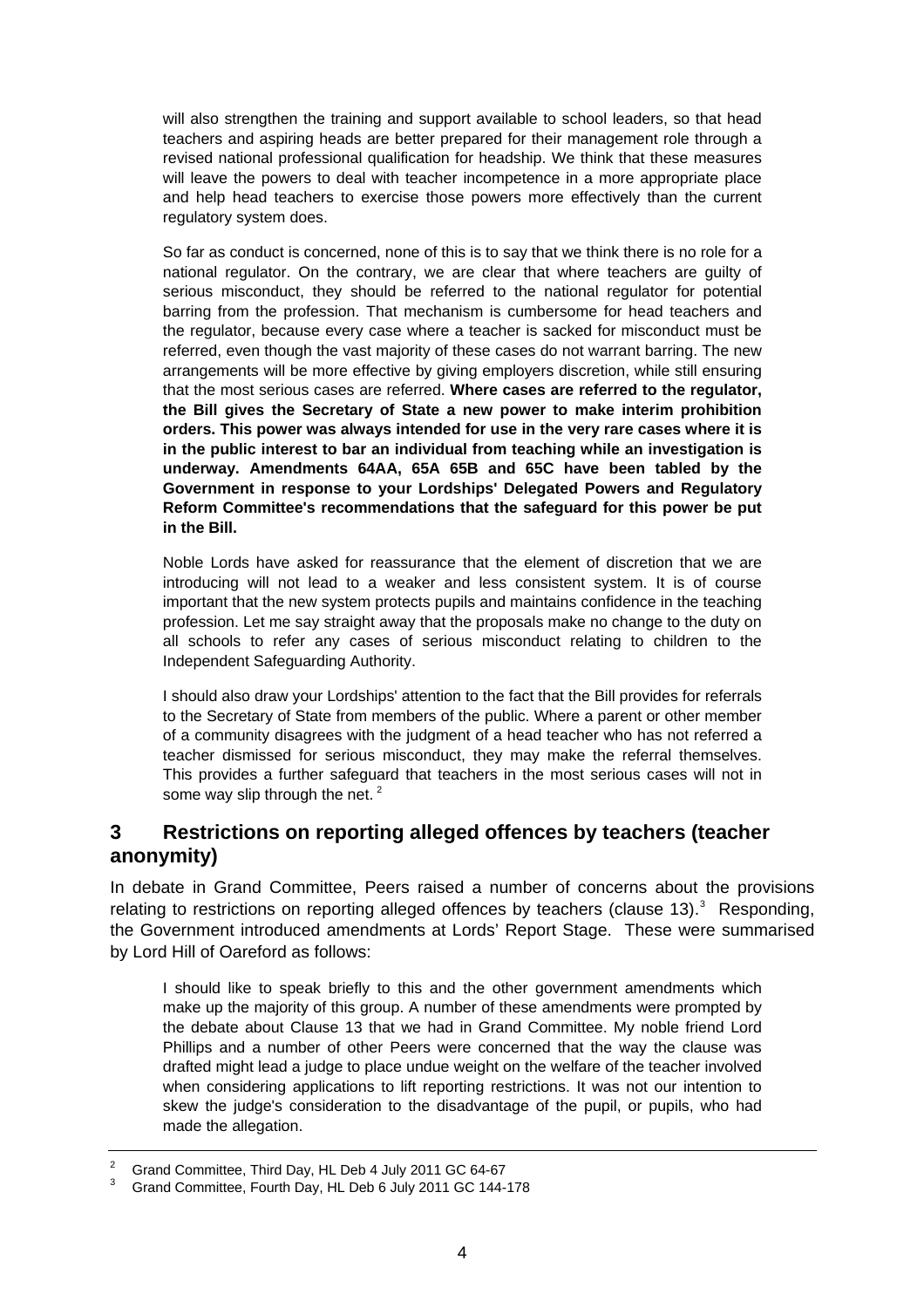<span id="page-3-0"></span>will also strengthen the training and support available to school leaders, so that head teachers and aspiring heads are better prepared for their management role through a revised national professional qualification for headship. We think that these measures will leave the powers to deal with teacher incompetence in a more appropriate place and help head teachers to exercise those powers more effectively than the current regulatory system does.

So far as conduct is concerned, none of this is to say that we think there is no role for a national regulator. On the contrary, we are clear that where teachers are guilty of serious misconduct, they should be referred to the national regulator for potential barring from the profession. That mechanism is cumbersome for head teachers and the regulator, because every case where a teacher is sacked for misconduct must be referred, even though the vast majority of these cases do not warrant barring. The new arrangements will be more effective by giving employers discretion, while still ensuring that the most serious cases are referred. **Where cases are referred to the regulator, the Bill gives the Secretary of State a new power to make interim prohibition orders. This power was always intended for use in the very rare cases where it is in the public interest to bar an individual from teaching while an investigation is underway. Amendments 64AA, 65A 65B and 65C have been tabled by the Government in response to your Lordships' Delegated Powers and Regulatory Reform Committee's recommendations that the safeguard for this power be put in the Bill.**

Noble Lords have asked for reassurance that the element of discretion that we are introducing will not lead to a weaker and less consistent system. It is of course important that the new system protects pupils and maintains confidence in the teaching profession. Let me say straight away that the proposals make no change to the duty on all schools to refer any cases of serious misconduct relating to children to the Independent Safeguarding Authority.

I should also draw your Lordships' attention to the fact that the Bill provides for referrals to the Secretary of State from members of the public. Where a parent or other member of a community disagrees with the judgment of a head teacher who has not referred a teacher dismissed for serious misconduct, they may make the referral themselves. This provides a further safeguard that teachers in the most serious cases will not in some way slip through the net.  $2^2$  $2^2$ 

## **3 Restrictions on reporting alleged offences by teachers (teacher anonymity)**

In debate in Grand Committee, Peers raised a number of concerns about the provisions relating to restrictions on reporting alleged offences by teachers (clause 1[3](#page-3-2)). $3$  Responding, the Government introduced amendments at Lords' Report Stage. These were summarised by Lord Hill of Oareford as follows:

I should like to speak briefly to this and the other government amendments which make up the majority of this group. A number of these amendments were prompted by the debate about Clause 13 that we had in Grand Committee. My noble friend Lord Phillips and a number of other Peers were concerned that the way the clause was drafted might lead a judge to place undue weight on the welfare of the teacher involved when considering applications to lift reporting restrictions. It was not our intention to skew the judge's consideration to the disadvantage of the pupil, or pupils, who had made the allegation.

<sup>2</sup> Grand Committee, Third Day, HL Deb 4 July 2011 GC 64-67

<span id="page-3-2"></span><span id="page-3-1"></span><sup>3</sup> Grand Committee, Fourth Day, HL Deb 6 July 2011 GC 144-178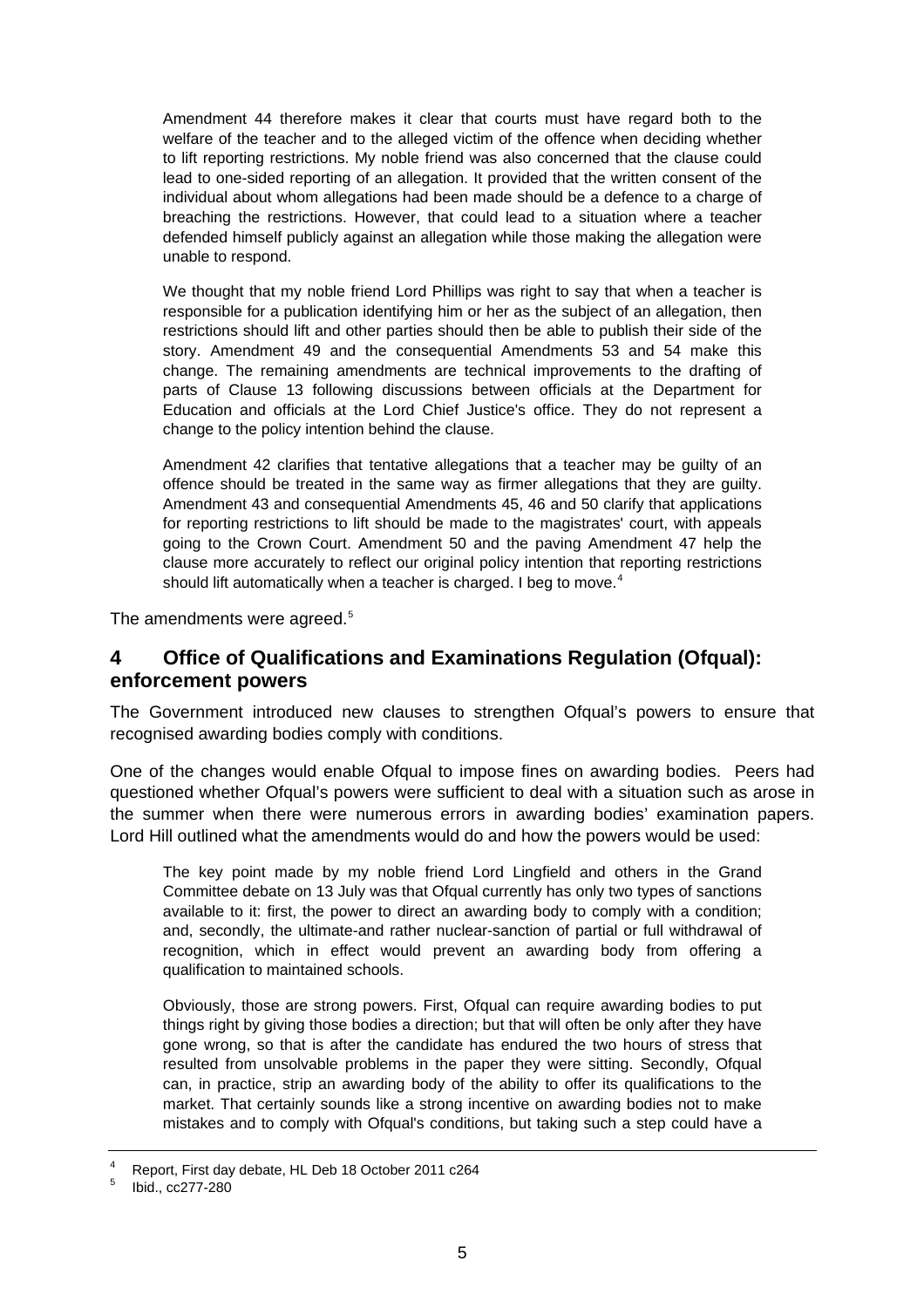<span id="page-4-0"></span>Amendment 44 therefore makes it clear that courts must have regard both to the welfare of the teacher and to the alleged victim of the offence when deciding whether to lift reporting restrictions. My noble friend was also concerned that the clause could lead to one-sided reporting of an allegation. It provided that the written consent of the individual about whom allegations had been made should be a defence to a charge of breaching the restrictions. However, that could lead to a situation where a teacher defended himself publicly against an allegation while those making the allegation were unable to respond.

We thought that my noble friend Lord Phillips was right to say that when a teacher is responsible for a publication identifying him or her as the subject of an allegation, then restrictions should lift and other parties should then be able to publish their side of the story. Amendment 49 and the consequential Amendments 53 and 54 make this change. The remaining amendments are technical improvements to the drafting of parts of Clause 13 following discussions between officials at the Department for Education and officials at the Lord Chief Justice's office. They do not represent a change to the policy intention behind the clause.

Amendment 42 clarifies that tentative allegations that a teacher may be guilty of an offence should be treated in the same way as firmer allegations that they are guilty. Amendment 43 and consequential Amendments 45, 46 and 50 clarify that applications for reporting restrictions to lift should be made to the magistrates' court, with appeals going to the Crown Court. Amendment 50 and the paving Amendment 47 help the clause more accurately to reflect our original policy intention that reporting restrictions should lift automatically when a teacher is charged. I beg to move. $4$ 

The amendments were agreed.<sup>[5](#page-4-2)</sup>

## **4 Office of Qualifications and Examinations Regulation (Ofqual): enforcement powers**

The Government introduced new clauses to strengthen Ofqual's powers to ensure that recognised awarding bodies comply with conditions.

One of the changes would enable Ofqual to impose fines on awarding bodies. Peers had questioned whether Ofqual's powers were sufficient to deal with a situation such as arose in the summer when there were numerous errors in awarding bodies' examination papers. Lord Hill outlined what the amendments would do and how the powers would be used:

The key point made by my noble friend Lord Lingfield and others in the Grand Committee debate on 13 July was that Ofqual currently has only two types of sanctions available to it: first, the power to direct an awarding body to comply with a condition; and, secondly, the ultimate-and rather nuclear-sanction of partial or full withdrawal of recognition, which in effect would prevent an awarding body from offering a qualification to maintained schools.

Obviously, those are strong powers. First, Ofqual can require awarding bodies to put things right by giving those bodies a direction; but that will often be only after they have gone wrong, so that is after the candidate has endured the two hours of stress that resulted from unsolvable problems in the paper they were sitting. Secondly, Ofqual can, in practice, strip an awarding body of the ability to offer its qualifications to the market. That certainly sounds like a strong incentive on awarding bodies not to make mistakes and to comply with Ofqual's conditions, but taking such a step could have a

<sup>4</sup> Report, First day debate, HL Deb 18 October 2011 c264

<span id="page-4-2"></span><span id="page-4-1"></span><sup>5</sup> Ibid., cc277-280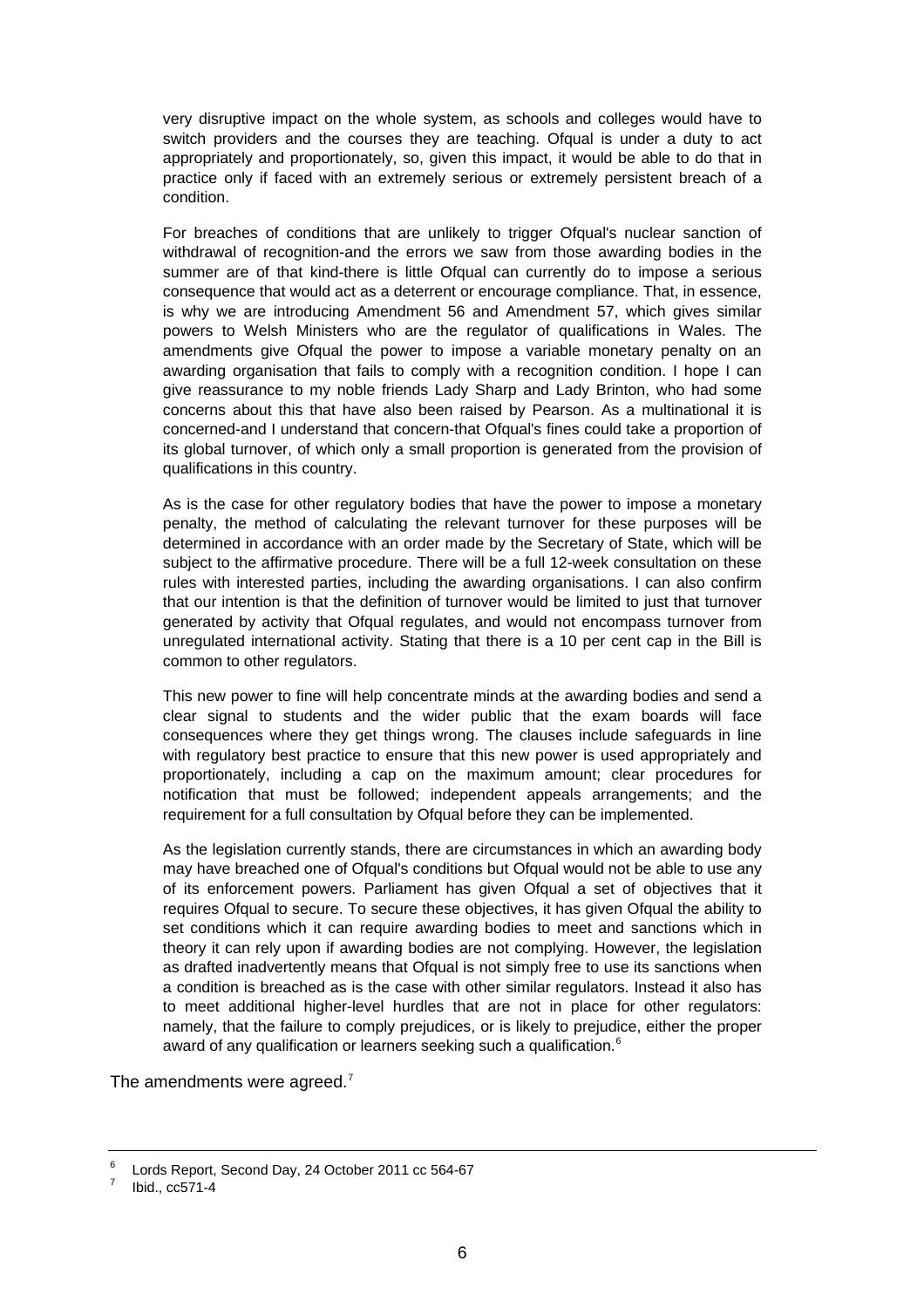very disruptive impact on the whole system, as schools and colleges would have to switch providers and the courses they are teaching. Ofqual is under a duty to act appropriately and proportionately, so, given this impact, it would be able to do that in practice only if faced with an extremely serious or extremely persistent breach of a condition.

For breaches of conditions that are unlikely to trigger Ofqual's nuclear sanction of withdrawal of recognition-and the errors we saw from those awarding bodies in the summer are of that kind-there is little Ofqual can currently do to impose a serious consequence that would act as a deterrent or encourage compliance. That, in essence, is why we are introducing Amendment 56 and Amendment 57, which gives similar powers to Welsh Ministers who are the regulator of qualifications in Wales. The amendments give Ofqual the power to impose a variable monetary penalty on an awarding organisation that fails to comply with a recognition condition. I hope I can give reassurance to my noble friends Lady Sharp and Lady Brinton, who had some concerns about this that have also been raised by Pearson. As a multinational it is concerned-and I understand that concern-that Ofqual's fines could take a proportion of its global turnover, of which only a small proportion is generated from the provision of qualifications in this country.

As is the case for other regulatory bodies that have the power to impose a monetary penalty, the method of calculating the relevant turnover for these purposes will be determined in accordance with an order made by the Secretary of State, which will be subject to the affirmative procedure. There will be a full 12-week consultation on these rules with interested parties, including the awarding organisations. I can also confirm that our intention is that the definition of turnover would be limited to just that turnover generated by activity that Ofqual regulates, and would not encompass turnover from unregulated international activity. Stating that there is a 10 per cent cap in the Bill is common to other regulators.

This new power to fine will help concentrate minds at the awarding bodies and send a clear signal to students and the wider public that the exam boards will face consequences where they get things wrong. The clauses include safeguards in line with regulatory best practice to ensure that this new power is used appropriately and proportionately, including a cap on the maximum amount; clear procedures for notification that must be followed; independent appeals arrangements; and the requirement for a full consultation by Ofqual before they can be implemented.

As the legislation currently stands, there are circumstances in which an awarding body may have breached one of Ofqual's conditions but Ofqual would not be able to use any of its enforcement powers. Parliament has given Ofqual a set of objectives that it requires Ofqual to secure. To secure these objectives, it has given Ofqual the ability to set conditions which it can require awarding bodies to meet and sanctions which in theory it can rely upon if awarding bodies are not complying. However, the legislation as drafted inadvertently means that Ofqual is not simply free to use its sanctions when a condition is breached as is the case with other similar regulators. Instead it also has to meet additional higher-level hurdles that are not in place for other regulators: namely, that the failure to comply prejudices, or is likely to prejudice, either the proper award of any qualification or learners seeking such a qualification.<sup>[6](#page-5-0)</sup>

The amendments were agreed.<sup>[7](#page-5-1)</sup>

<span id="page-5-0"></span><sup>6</sup> Lords Report, Second Day, 24 October 2011 cc 564-67

<span id="page-5-1"></span><sup>7</sup> Ibid., cc571-4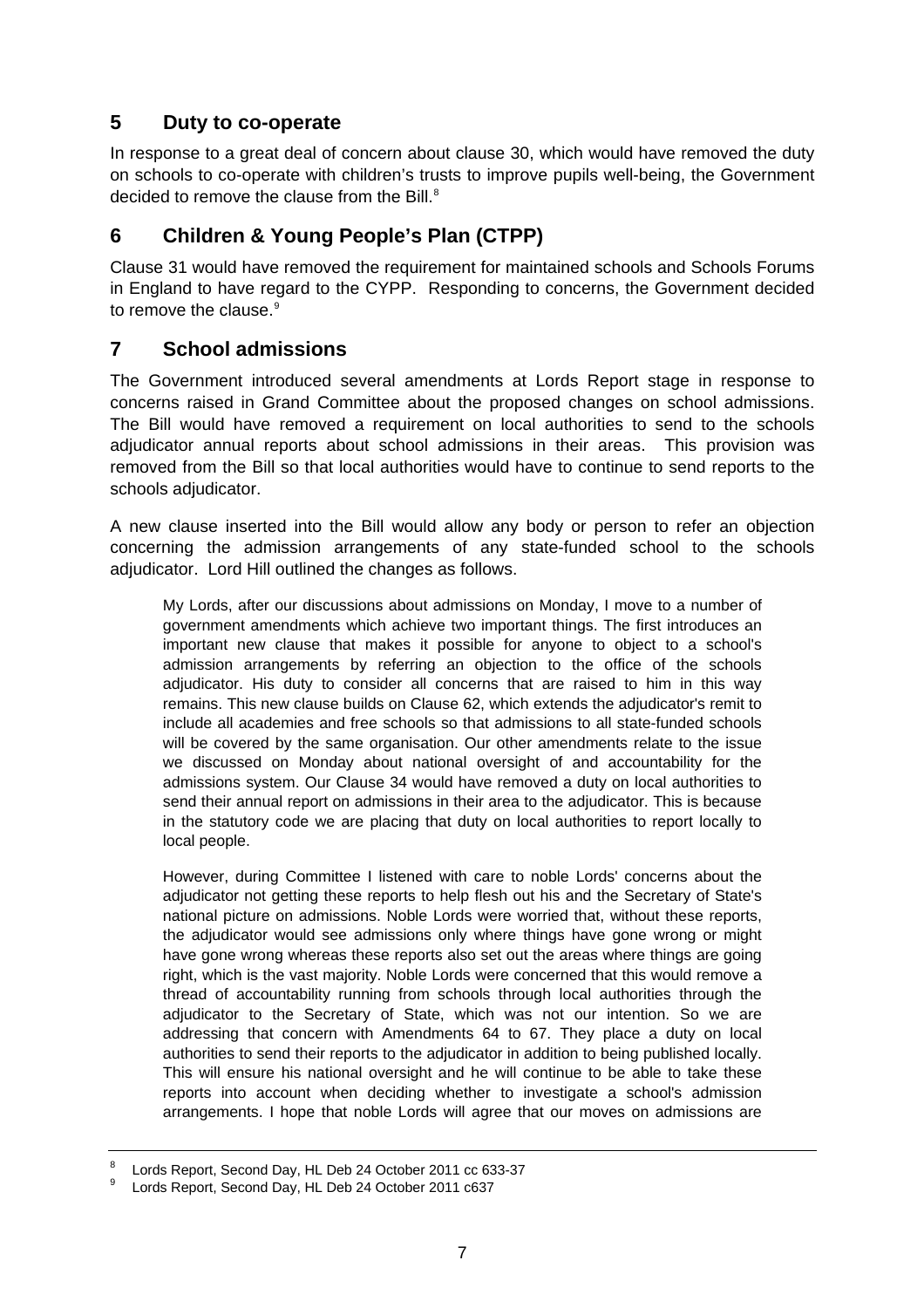# <span id="page-6-0"></span>**5 Duty to co-operate**

In response to a great deal of concern about clause 30, which would have removed the duty on schools to co-operate with children's trusts to improve pupils well-being, the Government decided to remove the clause from the Bill. $^8$  $^8$ 

## **6 Children & Young People's Plan (CTPP)**

Clause 31 would have removed the requirement for maintained schools and Schools Forums in England to have regard to the CYPP. Responding to concerns, the Government decided to remove the clause.<sup>[9](#page-6-2)</sup>

#### **7 School admissions**

The Government introduced several amendments at Lords Report stage in response to concerns raised in Grand Committee about the proposed changes on school admissions. The Bill would have removed a requirement on local authorities to send to the schools adjudicator annual reports about school admissions in their areas. This provision was removed from the Bill so that local authorities would have to continue to send reports to the schools adjudicator.

A new clause inserted into the Bill would allow any body or person to refer an objection concerning the admission arrangements of any state-funded school to the schools adjudicator. Lord Hill outlined the changes as follows.

My Lords, after our discussions about admissions on Monday, I move to a number of government amendments which achieve two important things. The first introduces an important new clause that makes it possible for anyone to object to a school's admission arrangements by referring an objection to the office of the schools adjudicator. His duty to consider all concerns that are raised to him in this way remains. This new clause builds on Clause 62, which extends the adjudicator's remit to include all academies and free schools so that admissions to all state-funded schools will be covered by the same organisation. Our other amendments relate to the issue we discussed on Monday about national oversight of and accountability for the admissions system. Our Clause 34 would have removed a duty on local authorities to send their annual report on admissions in their area to the adjudicator. This is because in the statutory code we are placing that duty on local authorities to report locally to local people.

However, during Committee I listened with care to noble Lords' concerns about the adjudicator not getting these reports to help flesh out his and the Secretary of State's national picture on admissions. Noble Lords were worried that, without these reports, the adjudicator would see admissions only where things have gone wrong or might have gone wrong whereas these reports also set out the areas where things are going right, which is the vast majority. Noble Lords were concerned that this would remove a thread of accountability running from schools through local authorities through the adjudicator to the Secretary of State, which was not our intention. So we are addressing that concern with Amendments 64 to 67. They place a duty on local authorities to send their reports to the adjudicator in addition to being published locally. This will ensure his national oversight and he will continue to be able to take these reports into account when deciding whether to investigate a school's admission arrangements. I hope that noble Lords will agree that our moves on admissions are

<sup>8</sup> Lords Report, Second Day, HL Deb 24 October 2011 cc 633-37

<span id="page-6-2"></span><span id="page-6-1"></span><sup>9</sup> Lords Report, Second Day, HL Deb 24 October 2011 c637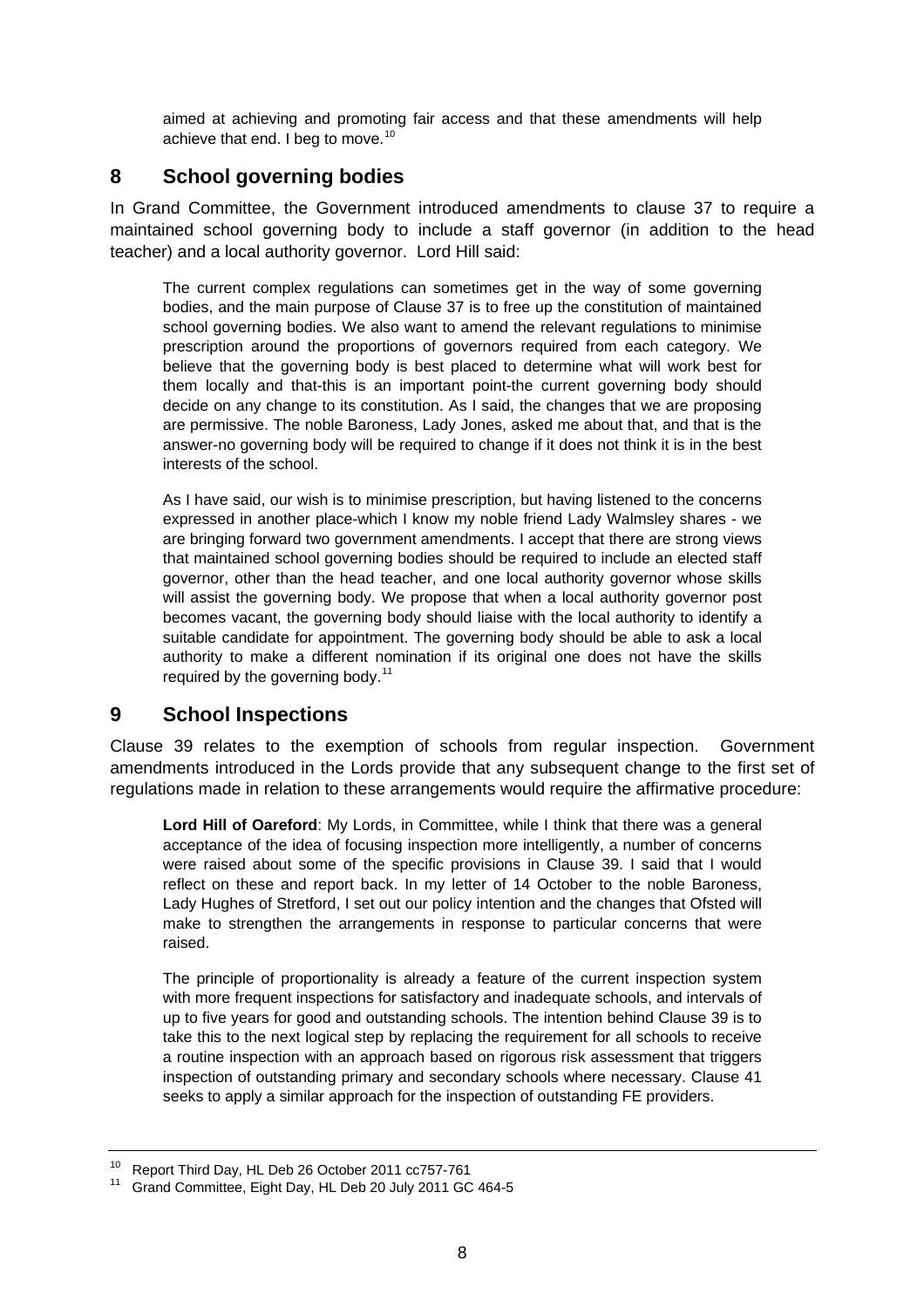<span id="page-7-0"></span>aimed at achieving and promoting fair access and that these amendments will help achieve that end. I beg to move.<sup>[10](#page-7-1)</sup>

## **8 School governing bodies**

In Grand Committee, the Government introduced amendments to clause 37 to require a maintained school governing body to include a staff governor (in addition to the head teacher) and a local authority governor. Lord Hill said:

The current complex regulations can sometimes get in the way of some governing bodies, and the main purpose of Clause 37 is to free up the constitution of maintained school governing bodies. We also want to amend the relevant regulations to minimise prescription around the proportions of governors required from each category. We believe that the governing body is best placed to determine what will work best for them locally and that-this is an important point-the current governing body should decide on any change to its constitution. As I said, the changes that we are proposing are permissive. The noble Baroness, Lady Jones, asked me about that, and that is the answer-no governing body will be required to change if it does not think it is in the best interests of the school.

As I have said, our wish is to minimise prescription, but having listened to the concerns expressed in another place-which I know my noble friend Lady Walmsley shares - we are bringing forward two government amendments. I accept that there are strong views that maintained school governing bodies should be required to include an elected staff governor, other than the head teacher, and one local authority governor whose skills will assist the governing body. We propose that when a local authority governor post becomes vacant, the governing body should liaise with the local authority to identify a suitable candidate for appointment. The governing body should be able to ask a local authority to make a different nomination if its original one does not have the skills required by the governing body.<sup>[11](#page-7-2)</sup>

# **9 School Inspections**

Clause 39 relates to the exemption of schools from regular inspection. Government amendments introduced in the Lords provide that any subsequent change to the first set of regulations made in relation to these arrangements would require the affirmative procedure:

**Lord Hill of Oareford**: My Lords, in Committee, while I think that there was a general acceptance of the idea of focusing inspection more intelligently, a number of concerns were raised about some of the specific provisions in Clause 39. I said that I would reflect on these and report back. In my letter of 14 October to the noble Baroness, Lady Hughes of Stretford, I set out our policy intention and the changes that Ofsted will make to strengthen the arrangements in response to particular concerns that were raised.

The principle of proportionality is already a feature of the current inspection system with more frequent inspections for satisfactory and inadequate schools, and intervals of up to five years for good and outstanding schools. The intention behind Clause 39 is to take this to the next logical step by replacing the requirement for all schools to receive a routine inspection with an approach based on rigorous risk assessment that triggers inspection of outstanding primary and secondary schools where necessary. Clause 41 seeks to apply a similar approach for the inspection of outstanding FE providers.

<span id="page-7-1"></span><sup>10</sup> Report Third Day, HL Deb 26 October 2011 cc757-761

<span id="page-7-2"></span><sup>11</sup> Grand Committee, Eight Day, HL Deb 20 July 2011 GC 464-5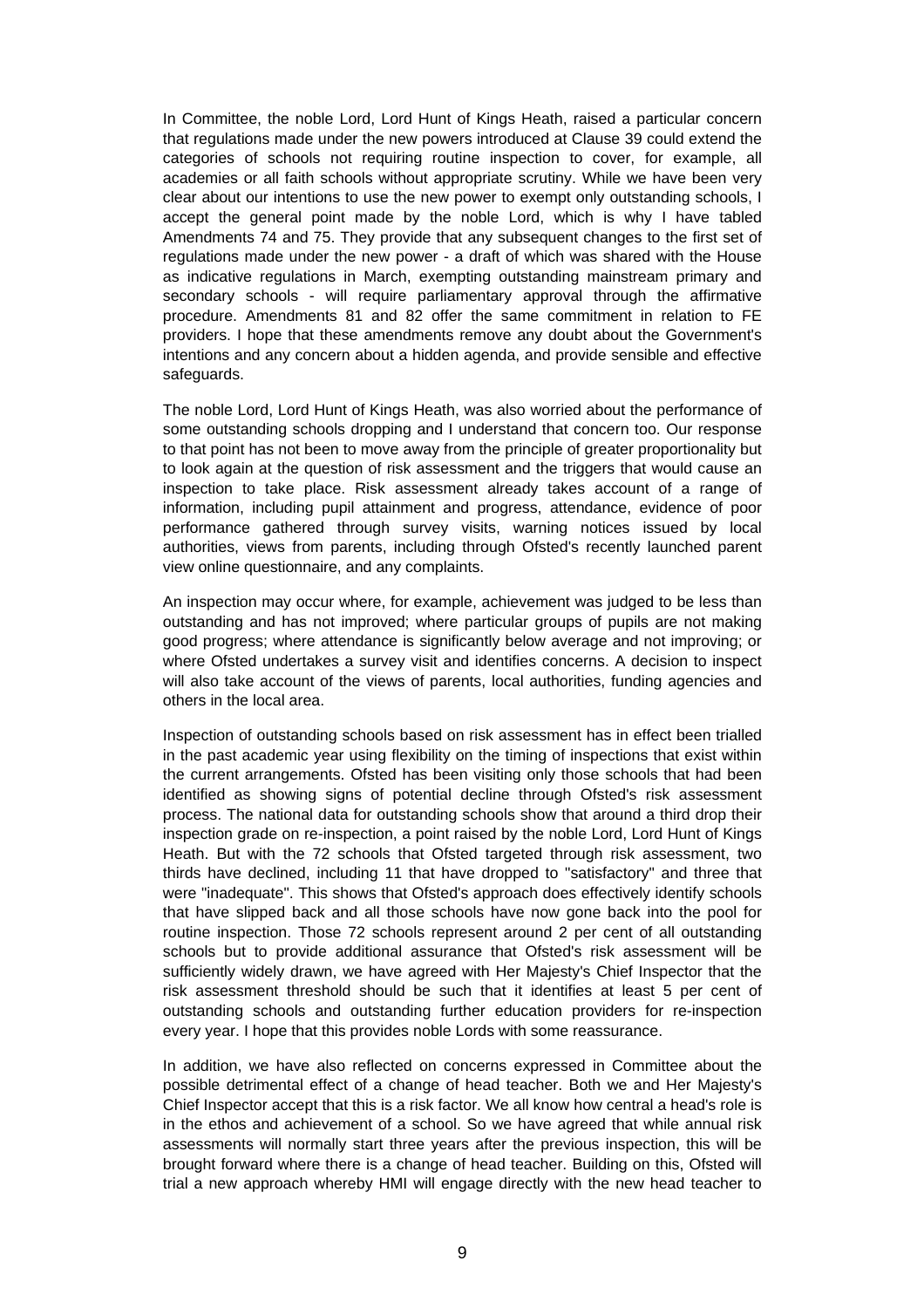In Committee, the noble Lord, Lord Hunt of Kings Heath, raised a particular concern that regulations made under the new powers introduced at Clause 39 could extend the categories of schools not requiring routine inspection to cover, for example, all academies or all faith schools without appropriate scrutiny. While we have been very clear about our intentions to use the new power to exempt only outstanding schools, I accept the general point made by the noble Lord, which is why I have tabled Amendments 74 and 75. They provide that any subsequent changes to the first set of regulations made under the new power - a draft of which was shared with the House as indicative regulations in March, exempting outstanding mainstream primary and secondary schools - will require parliamentary approval through the affirmative procedure. Amendments 81 and 82 offer the same commitment in relation to FE providers. I hope that these amendments remove any doubt about the Government's intentions and any concern about a hidden agenda, and provide sensible and effective safeguards.

The noble Lord, Lord Hunt of Kings Heath, was also worried about the performance of some outstanding schools dropping and I understand that concern too. Our response to that point has not been to move away from the principle of greater proportionality but to look again at the question of risk assessment and the triggers that would cause an inspection to take place. Risk assessment already takes account of a range of information, including pupil attainment and progress, attendance, evidence of poor performance gathered through survey visits, warning notices issued by local authorities, views from parents, including through Ofsted's recently launched parent view online questionnaire, and any complaints.

An inspection may occur where, for example, achievement was judged to be less than outstanding and has not improved; where particular groups of pupils are not making good progress; where attendance is significantly below average and not improving; or where Ofsted undertakes a survey visit and identifies concerns. A decision to inspect will also take account of the views of parents, local authorities, funding agencies and others in the local area.

Inspection of outstanding schools based on risk assessment has in effect been trialled in the past academic year using flexibility on the timing of inspections that exist within the current arrangements. Ofsted has been visiting only those schools that had been identified as showing signs of potential decline through Ofsted's risk assessment process. The national data for outstanding schools show that around a third drop their inspection grade on re-inspection, a point raised by the noble Lord, Lord Hunt of Kings Heath. But with the 72 schools that Ofsted targeted through risk assessment, two thirds have declined, including 11 that have dropped to "satisfactory" and three that were "inadequate". This shows that Ofsted's approach does effectively identify schools that have slipped back and all those schools have now gone back into the pool for routine inspection. Those 72 schools represent around 2 per cent of all outstanding schools but to provide additional assurance that Ofsted's risk assessment will be sufficiently widely drawn, we have agreed with Her Majesty's Chief Inspector that the risk assessment threshold should be such that it identifies at least 5 per cent of outstanding schools and outstanding further education providers for re-inspection every year. I hope that this provides noble Lords with some reassurance.

In addition, we have also reflected on concerns expressed in Committee about the possible detrimental effect of a change of head teacher. Both we and Her Majesty's Chief Inspector accept that this is a risk factor. We all know how central a head's role is in the ethos and achievement of a school. So we have agreed that while annual risk assessments will normally start three years after the previous inspection, this will be brought forward where there is a change of head teacher. Building on this, Ofsted will trial a new approach whereby HMI will engage directly with the new head teacher to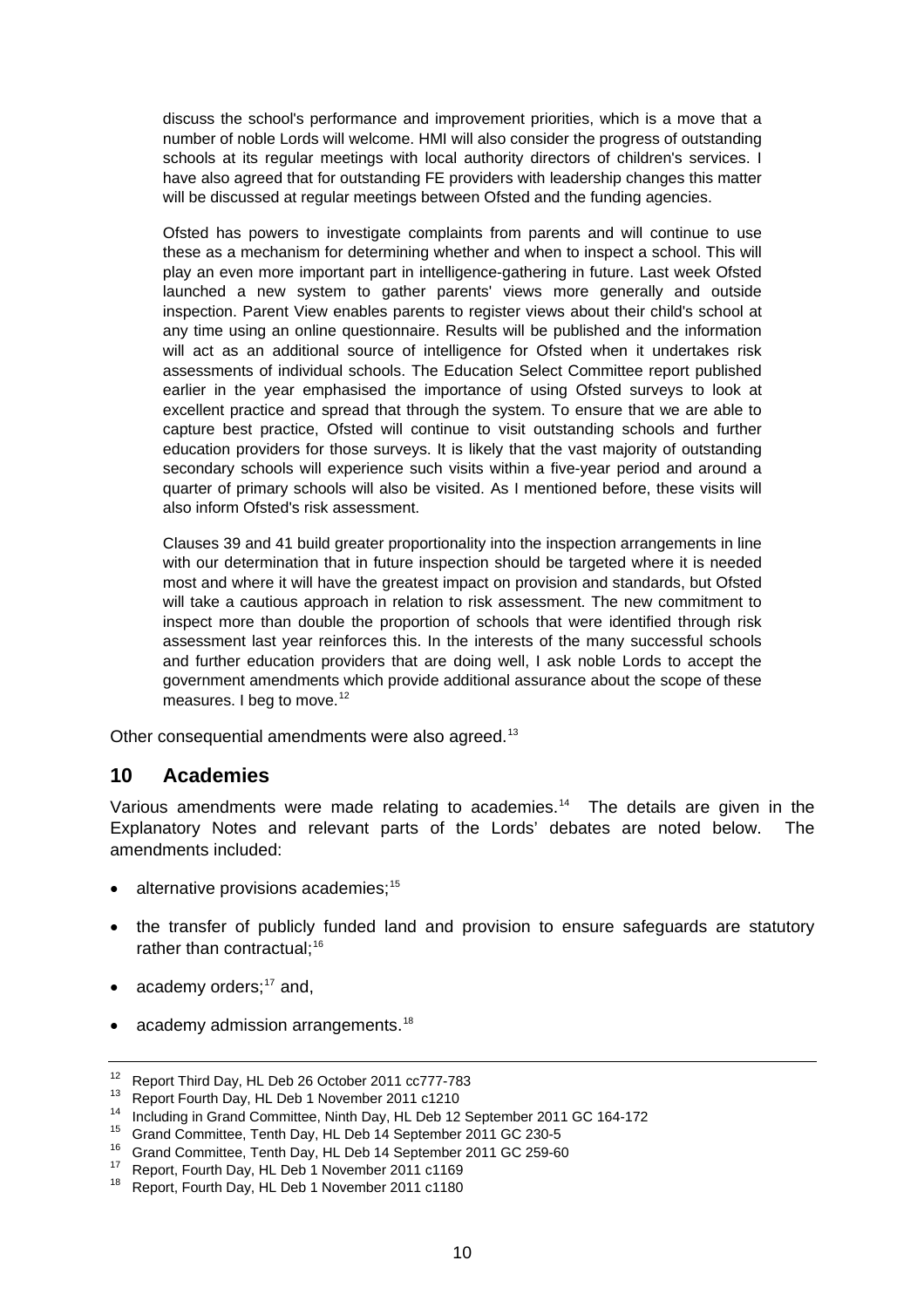<span id="page-9-0"></span>discuss the school's performance and improvement priorities, which is a move that a number of noble Lords will welcome. HMI will also consider the progress of outstanding schools at its regular meetings with local authority directors of children's services. I have also agreed that for outstanding FE providers with leadership changes this matter will be discussed at regular meetings between Ofsted and the funding agencies.

Ofsted has powers to investigate complaints from parents and will continue to use these as a mechanism for determining whether and when to inspect a school. This will play an even more important part in intelligence-gathering in future. Last week Ofsted launched a new system to gather parents' views more generally and outside inspection. Parent View enables parents to register views about their child's school at any time using an online questionnaire. Results will be published and the information will act as an additional source of intelligence for Ofsted when it undertakes risk assessments of individual schools. The Education Select Committee report published earlier in the year emphasised the importance of using Ofsted surveys to look at excellent practice and spread that through the system. To ensure that we are able to capture best practice, Ofsted will continue to visit outstanding schools and further education providers for those surveys. It is likely that the vast majority of outstanding secondary schools will experience such visits within a five-year period and around a quarter of primary schools will also be visited. As I mentioned before, these visits will also inform Ofsted's risk assessment.

Clauses 39 and 41 build greater proportionality into the inspection arrangements in line with our determination that in future inspection should be targeted where it is needed most and where it will have the greatest impact on provision and standards, but Ofsted will take a cautious approach in relation to risk assessment. The new commitment to inspect more than double the proportion of schools that were identified through risk assessment last year reinforces this. In the interests of the many successful schools and further education providers that are doing well, I ask noble Lords to accept the government amendments which provide additional assurance about the scope of these measures. I beg to move. $12$ 

Other consequential amendments were also agreed.<sup>[13](#page-9-2)</sup>

#### **10 Academies**

Various amendments were made relating to academies.<sup>[14](#page-9-3)</sup> The details are given in the Explanatory Notes and relevant parts of the Lords' debates are noted below. The amendments included:

- alternative provisions academies;<sup>[15](#page-9-4)</sup>
- the transfer of publicly funded land and provision to ensure safeguards are statutory rather than contractual: $16$
- academy orders; $17$  and,
- academy admission arrangements.<sup>[18](#page-9-7)</sup>

<span id="page-9-1"></span><sup>12</sup> Report Third Day, HL Deb 26 October 2011 cc777-783

<span id="page-9-2"></span><sup>13</sup> Report Fourth Day, HL Deb 1 November 2011 c1210

<span id="page-9-3"></span><sup>14</sup> Including in Grand Committee, Ninth Day, HL Deb 12 September 2011 GC 164-172

<span id="page-9-4"></span><sup>15</sup> Grand Committee, Tenth Day, HL Deb 14 September 2011 GC 230-5

<span id="page-9-5"></span><sup>&</sup>lt;sup>16</sup> Grand Committee, Tenth Day, HL Deb 14 September 2011 GC 259-60<sup>17</sup> Bonert Fourth Day, HL Deb 1 Navember 2011 e1160

<span id="page-9-7"></span><span id="page-9-6"></span><sup>&</sup>lt;sup>17</sup> Report, Fourth Day, HL Deb 1 November 2011 c1169<br><sup>18</sup> Benert, Fourth Day, HL Deb 1 November 2011 c1180

Report, Fourth Day, HL Deb 1 November 2011 c1180